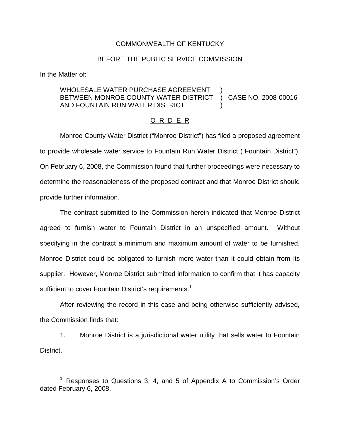## COMMONWEALTH OF KENTUCKY

## BEFORE THE PUBLIC SERVICE COMMISSION

In the Matter of:

## WHOLESALE WATER PURCHASE AGREEMENT BETWEEN MONROE COUNTY WATER DISTRICT AND FOUNTAIN RUN WATER DISTRICT ) ) CASE NO. 2008-00016 )

## O R D E R

Monroe County Water District ("Monroe District") has filed a proposed agreement to provide wholesale water service to Fountain Run Water District ("Fountain District"). On February 6, 2008, the Commission found that further proceedings were necessary to determine the reasonableness of the proposed contract and that Monroe District should provide further information.

The contract submitted to the Commission herein indicated that Monroe District agreed to furnish water to Fountain District in an unspecified amount. Without specifying in the contract a minimum and maximum amount of water to be furnished, Monroe District could be obligated to furnish more water than it could obtain from its supplier. However, Monroe District submitted information to confirm that it has capacity sufficient to cover Fountain District's requirements.<sup>1</sup>

After reviewing the record in this case and being otherwise sufficiently advised, the Commission finds that:

1. Monroe District is a jurisdictional water utility that sells water to Fountain District.

 $1$  Responses to Questions 3, 4, and 5 of Appendix A to Commission's Order dated February 6, 2008.